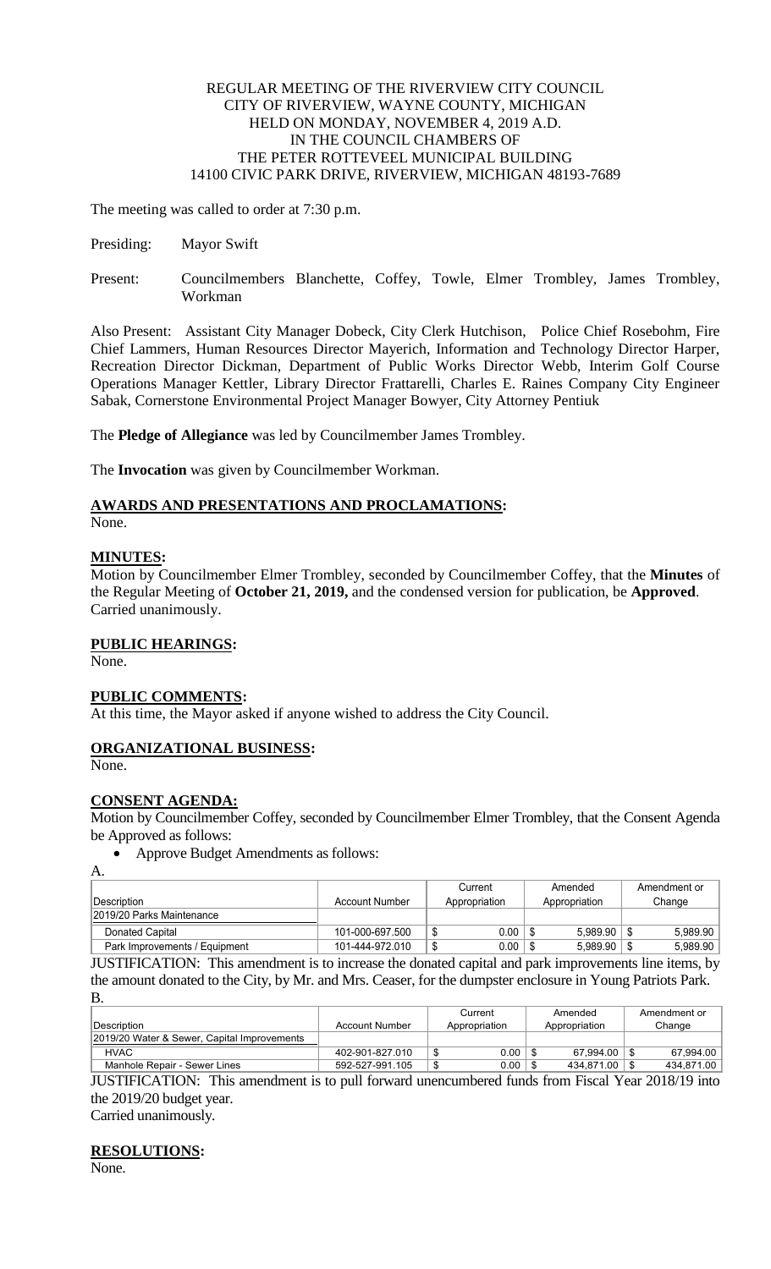#### REGULAR MEETING OF THE RIVERVIEW CITY COUNCIL CITY OF RIVERVIEW, WAYNE COUNTY, MICHIGAN HELD ON MONDAY, NOVEMBER 4, 2019 A.D. IN THE COUNCIL CHAMBERS OF THE PETER ROTTEVEEL MUNICIPAL BUILDING 14100 CIVIC PARK DRIVE, RIVERVIEW, MICHIGAN 48193-7689

The meeting was called to order at 7:30 p.m.

- Presiding: Mayor Swift
- Present: Councilmembers Blanchette, Coffey, Towle, Elmer Trombley, James Trombley, Workman

Also Present: Assistant City Manager Dobeck, City Clerk Hutchison, Police Chief Rosebohm, Fire Chief Lammers, Human Resources Director Mayerich, Information and Technology Director Harper, Recreation Director Dickman, Department of Public Works Director Webb, Interim Golf Course Operations Manager Kettler, Library Director Frattarelli, Charles E. Raines Company City Engineer Sabak, Cornerstone Environmental Project Manager Bowyer, City Attorney Pentiuk

The **Pledge of Allegiance** was led by Councilmember James Trombley.

The **Invocation** was given by Councilmember Workman.

# **AWARDS AND PRESENTATIONS AND PROCLAMATIONS:**

None.

## **MINUTES:**

Motion by Councilmember Elmer Trombley, seconded by Councilmember Coffey, that the **Minutes** of the Regular Meeting of **October 21, 2019,** and the condensed version for publication, be **Approved**. Carried unanimously.

## **PUBLIC HEARINGS:**

None.

## **PUBLIC COMMENTS:**

At this time, the Mayor asked if anyone wished to address the City Council.

## **ORGANIZATIONAL BUSINESS:**

None.

## **CONSENT AGENDA:**

Motion by Councilmember Coffey, seconded by Councilmember Elmer Trombley, that the Consent Agenda be Approved as follows:

• Approve Budget Amendments as follows:

A.

|                               |                 | Current             | Amended       | Amendment or |
|-------------------------------|-----------------|---------------------|---------------|--------------|
| <b>IDescription</b>           | Account Number  | Appropriation       | Appropriation | Change       |
| 2019/20 Parks Maintenance     |                 |                     |               |              |
| Donated Capital               | 101-000-697.500 | $0.00\,$<br>ىن      | 5.989.90      | 5,989.90     |
| Park Improvements / Equipment | 101-444-972.010 | $0.00\,$<br>₼<br>۰D | 5.989.90      | 5.989.90     |

JUSTIFICATION: This amendment is to increase the donated capital and park improvements line items, by the amount donated to the City, by Mr. and Mrs. Ceaser, for the dumpster enclosure in Young Patriots Park. B.

|                                                                                                                                      |                 | Current       | Amended         | Amendment or |  |  |
|--------------------------------------------------------------------------------------------------------------------------------------|-----------------|---------------|-----------------|--------------|--|--|
| <b>IDescription</b>                                                                                                                  | Account Number  | Appropriation | Appropriation   | Change       |  |  |
| 2019/20 Water & Sewer, Capital Improvements                                                                                          |                 |               |                 |              |  |  |
| <b>HVAC</b>                                                                                                                          | 402-901-827.010 | 0.00          | 67.994.00       | 67.994.00    |  |  |
| Manhole Repair - Sewer Lines                                                                                                         | 592-527-991.105 | 0.00          | 434.871.00   \$ | 434,871.00   |  |  |
| <b>HIGTHEIO (TION)</b> , THe consequence is the send formed consequence of ford, from $\Gamma$ , and $V_{\text{max}}$ 0010/10 inter- |                 |               |                 |              |  |  |

JUSTIFICATION: This amendment is to pull forward unencumbered funds from Fiscal Year 2018/19 into the 2019/20 budget year.

Carried unanimously.

## **RESOLUTIONS:**

None.